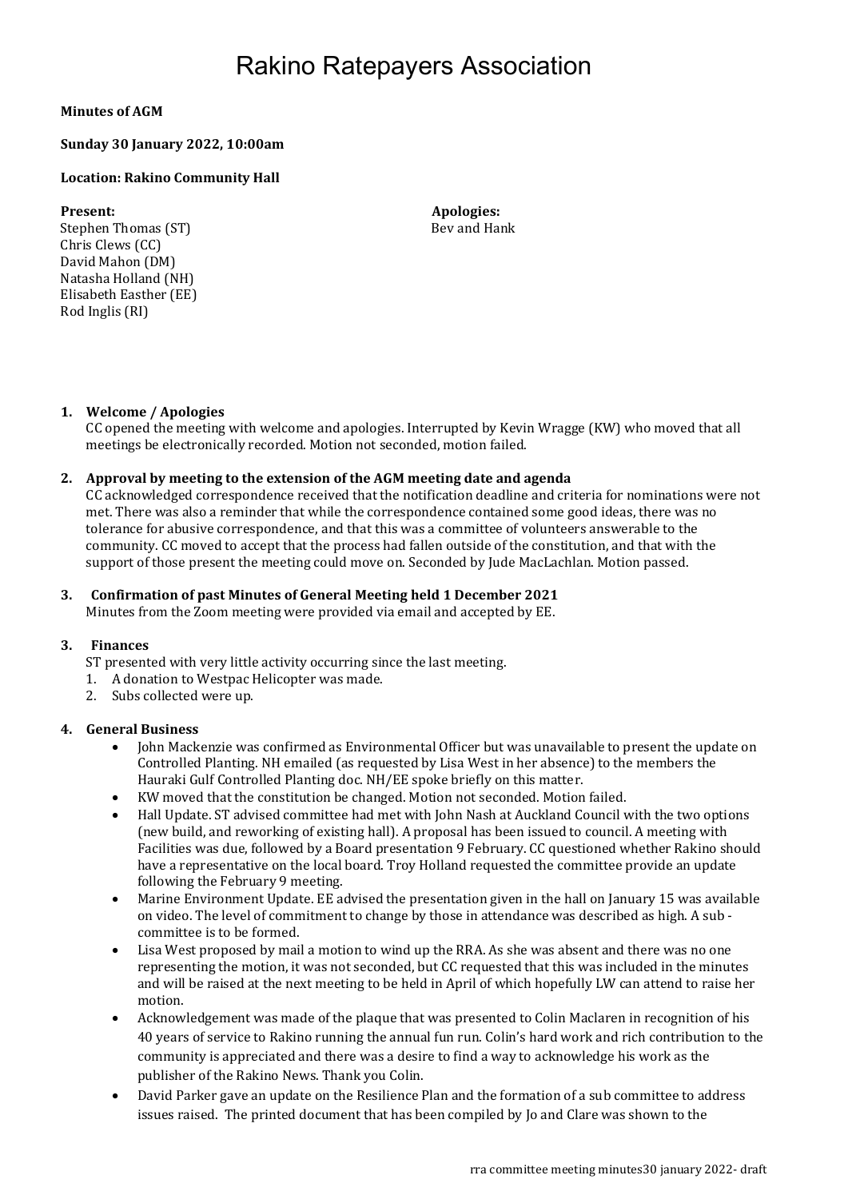## Rakino Ratepayers Association

### Minutes of AGM

#### Sunday 30 January 2022, 10:00am

#### Location: Rakino Community Hall

Stephen Thomas (ST) Bev and Hank Chris Clews (CC) David Mahon (DM) Natasha Holland (NH) Elisabeth Easther (EE) Rod Inglis (RI)

Present: Apologies: Apologies: Apologies: Apologies: Apologies: Apologies: Apologies: Apologies: Apologies: Apologies: Apologies: Apologies: Apologies: Apologies: Apologies: Apologies: Apologies: Apologies: Apologies: Apol

#### 1. Welcome / Apologies

CC opened the meeting with welcome and apologies. Interrupted by Kevin Wragge (KW) who moved that all meetings be electronically recorded. Motion not seconded, motion failed.

#### 2. Approval by meeting to the extension of the AGM meeting date and agenda

CC acknowledged correspondence received that the notification deadline and criteria for nominations were not met. There was also a reminder that while the correspondence contained some good ideas, there was no tolerance for abusive correspondence, and that this was a committee of volunteers answerable to the community. CC moved to accept that the process had fallen outside of the constitution, and that with the support of those present the meeting could move on. Seconded by Jude MacLachlan. Motion passed.

#### 3. Confirmation of past Minutes of General Meeting held 1 December 2021

Minutes from the Zoom meeting were provided via email and accepted by EE.

#### 3. Finances

ST presented with very little activity occurring since the last meeting.

- 1. A donation to Westpac Helicopter was made.
- 2. Subs collected were up.

#### 4. General Business

- John Mackenzie was confirmed as Environmental Officer but was unavailable to present the update on Controlled Planting. NH emailed (as requested by Lisa West in her absence) to the members the Hauraki Gulf Controlled Planting doc. NH/EE spoke briefly on this matter.
- KW moved that the constitution be changed. Motion not seconded. Motion failed.
- Hall Update. ST advised committee had met with John Nash at Auckland Council with the two options (new build, and reworking of existing hall). A proposal has been issued to council. A meeting with Facilities was due, followed by a Board presentation 9 February. CC questioned whether Rakino should have a representative on the local board. Troy Holland requested the committee provide an update following the February 9 meeting.
- Marine Environment Update. EE advised the presentation given in the hall on January 15 was available on video. The level of commitment to change by those in attendance was described as high. A sub committee is to be formed.
- Lisa West proposed by mail a motion to wind up the RRA. As she was absent and there was no one representing the motion, it was not seconded, but CC requested that this was included in the minutes and will be raised at the next meeting to be held in April of which hopefully LW can attend to raise her motion.
- Acknowledgement was made of the plaque that was presented to Colin Maclaren in recognition of his 40 years of service to Rakino running the annual fun run. Colin's hard work and rich contribution to the community is appreciated and there was a desire to find a way to acknowledge his work as the publisher of the Rakino News. Thank you Colin.
- David Parker gave an update on the Resilience Plan and the formation of a sub committee to address issues raised. The printed document that has been compiled by Jo and Clare was shown to the